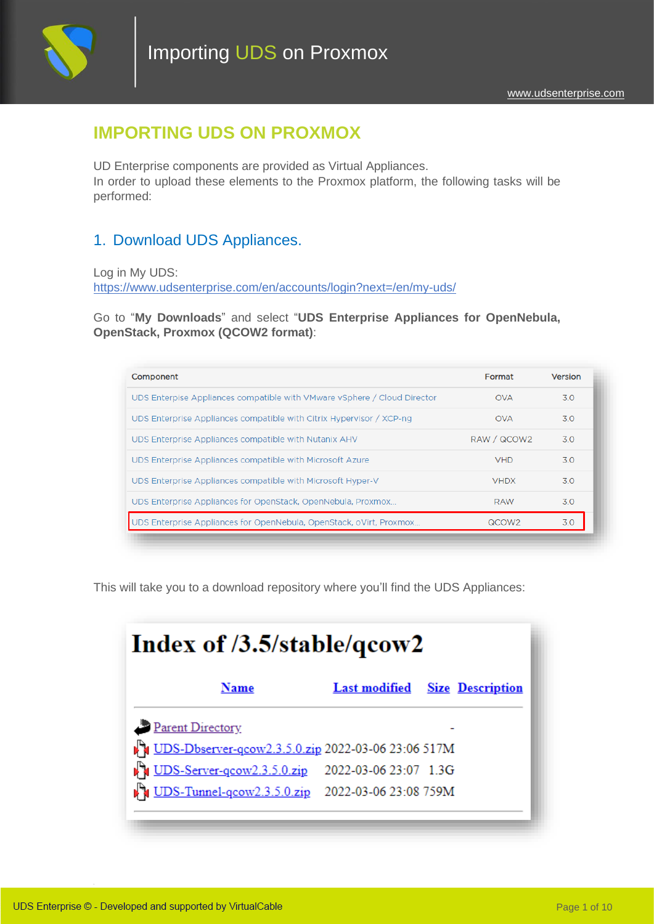

Importing UDS on Proxmox

## **IMPORTING UDS ON PROXMOX**

UD Enterprise components are provided as Virtual Appliances. In order to upload these elements to the Proxmox platform, the following tasks will be performed:

### 1. Download UDS Appliances.

Log in My UDS: <https://www.udsenterprise.com/en/accounts/login?next=/en/my-uds/>

Go to "**My Downloads**" and select "**UDS Enterprise Appliances for OpenNebula, OpenStack, Proxmox (QCOW2 format)**:

| Component                                                                | Format            | Version |
|--------------------------------------------------------------------------|-------------------|---------|
| UDS Enterpise Appliances compatible with VMware vSphere / Cloud Director | <b>OVA</b>        | 3.0     |
| UDS Enterprise Appliances compatible with Citrix Hypervisor / XCP-ng     | <b>OVA</b>        | 3.0     |
| UDS Enterprise Appliances compatible with Nutanix AHV                    | RAW / QCOW2       | 3.0     |
| UDS Enterprise Appliances compatible with Microsoft Azure                | <b>VHD</b>        | 3.0     |
| UDS Enterprise Appliances compatible with Microsoft Hyper-V              | <b>VHDX</b>       | 3.0     |
| UDS Enterprise Appliances for OpenStack, OpenNebula, Proxmox             | <b>RAW</b>        | 30      |
| UDS Enterprise Appliances for OpenNebula, OpenStack, oVirt, Proxmox      | QCOW <sub>2</sub> | 3.0     |

This will take you to a download repository where you'll find the UDS Appliances:

| Index of /3.5/stable/qcow2                                  |                                       |  |
|-------------------------------------------------------------|---------------------------------------|--|
| Name                                                        | <b>Last modified</b> Size Description |  |
| Parent Directory                                            |                                       |  |
| DIS-Dbserver-qcow2.3.5.0.zip 2022-03-06 23:06 517M          |                                       |  |
| UDS-Server-gcow2.3.5.0.zip                                  | 2022-03-06 23:07 1:3G                 |  |
| <b>DEX</b> UDS-Tunnel-qcow2.3.5.0.zip 2022-03-06 23:08 759M |                                       |  |
|                                                             |                                       |  |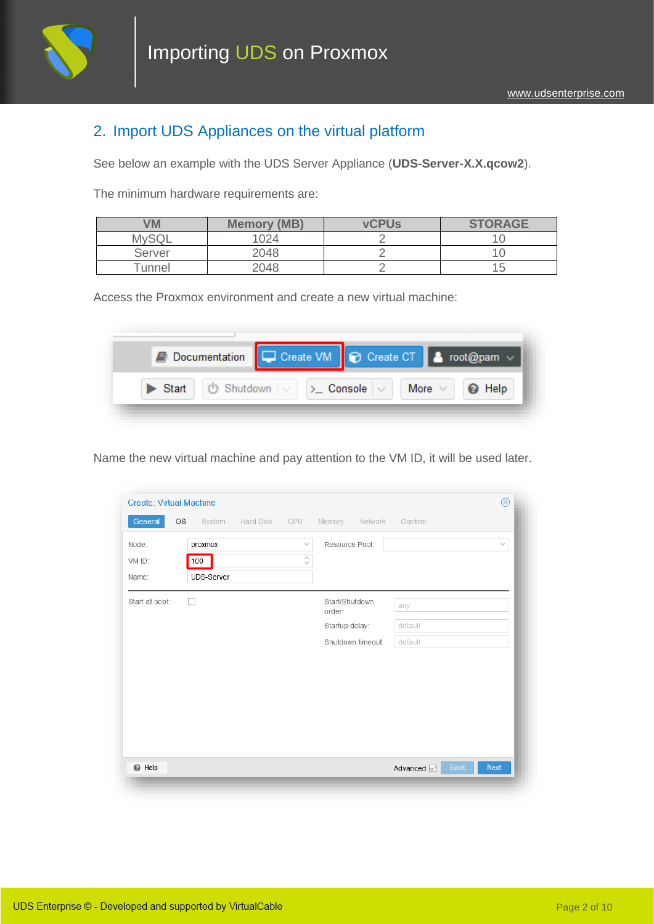

#### 2. Import UDS Appliances on the virtual platform

See below an example with the UDS Server Appliance (**UDS-Server-X.X.qcow2**).

The minimum hardware requirements are:

| VM           | <b>Memory (MB)</b> | <b>vCPUs</b> | <b>STORAGE</b> |
|--------------|--------------------|--------------|----------------|
| <b>MySQL</b> | 1024               |              |                |
| Server       | 2048               |              |                |
| Tunnel       | 2048               |              | ט ו            |

Access the Proxmox environment and create a new virtual machine:

| Documentation C Create VM C Create CT & root@pam v                         |  |  |  |
|----------------------------------------------------------------------------|--|--|--|
| Start   U Shutdown $\vee$   > Console $\vee$   More $\vee$   <b>@</b> Help |  |  |  |

Name the new virtual machine and pay attention to the VM ID, it will be used later.

| General        | OS<br>System | Hard Disk | CPU           | Memory<br>Network | Confirm                   |        |
|----------------|--------------|-----------|---------------|-------------------|---------------------------|--------|
| Node:          | proxmox      |           | $\searrow$    | Resource Pool:    |                           | $\vee$ |
| VM ID:         | 100          |           | $\hat{\cdot}$ |                   |                           |        |
| Name:          | UDS-Server   |           |               |                   |                           |        |
| Start at boot: | U            |           |               | Start/Shutdown    | any                       |        |
|                |              |           |               | order:            |                           |        |
|                |              |           |               | Startup delay:    | default                   |        |
|                |              |           |               | Shutdown timeout: | default                   |        |
|                |              |           |               |                   |                           |        |
|                |              |           |               |                   |                           |        |
|                |              |           |               |                   |                           |        |
|                |              |           |               |                   |                           |        |
|                |              |           |               |                   |                           |        |
|                |              |           |               |                   |                           |        |
|                |              |           |               |                   |                           |        |
|                |              |           |               |                   |                           |        |
|                |              |           |               |                   | <b>Back</b><br>Advanced Z | Next   |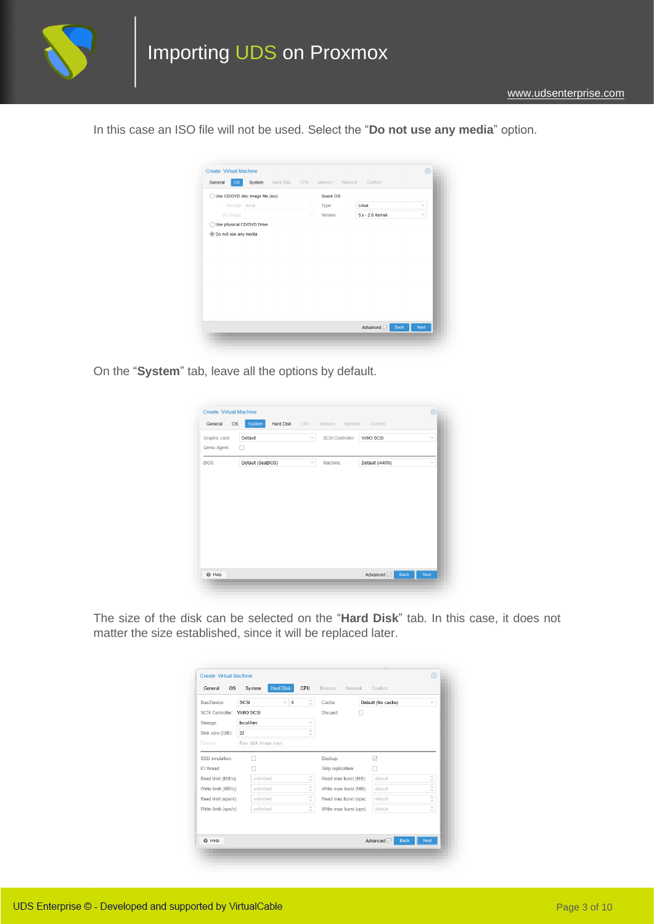

In this case an ISO file will not be used. Select the "**Do not use any media**" option.



On the "**System**" tab, leave all the options by default.

| Graphic card:<br>Qemu Agent: | Default<br>□      | $\checkmark$ | SCSI Controller: | <b>VirtIO SCSI</b> | $\checkmark$ |
|------------------------------|-------------------|--------------|------------------|--------------------|--------------|
| <b>BIOS:</b>                 | Default (SeaBIOS) | $\checkmark$ | Machine:         | Default (i440fx)   | $\checkmark$ |
|                              |                   |              |                  |                    |              |
|                              |                   |              |                  |                    |              |
|                              |                   |              |                  |                    |              |
|                              |                   |              |                  |                    |              |
|                              |                   |              |                  |                    |              |

The size of the disk can be selected on the "**Hard Disk**" tab. In this case, it does not matter the size established, since it will be replaced later.

| Bus/Device:          | SCSI<br>$\checkmark$<br>$\bf{0}$ | $\hat{\phantom{a}}$                     | Cache:                 | Default (No cache) | $\checkmark$  |
|----------------------|----------------------------------|-----------------------------------------|------------------------|--------------------|---------------|
| SCSI Controller      | VirtIO SCSL                      |                                         | Discard:               |                    |               |
| Storage:             | local-lym                        | $\checkmark$                            |                        |                    |               |
| Disk size (GiB):     | 32                               | $\widehat{\phantom{a}}$<br>$\checkmark$ |                        |                    |               |
| Format:              | Raw disk image (raw)             |                                         |                        |                    |               |
| SSD emulation:       |                                  |                                         | Backup:                | ▽                  |               |
| IO thread:           |                                  |                                         | Skip replication:      |                    |               |
| Read limit (MB/s):   | unlimited                        | $\hat{\phantom{a}}$                     | Read max burst (MB):   | default            | $\hat{\cdot}$ |
| Write limit (MB/s):  | unlimited                        | $\hat{\mathcal{C}}$                     | Write max burst (MB):  | default            | $\hat{\cdot}$ |
| Read limit (ops/s):  | unlimited                        | $\hat{\phantom{a}}$                     | Read max burst (ops):  | default            | $\hat{\cdot}$ |
| Write limit (ops/s): | unlimited                        | $\hat{\phantom{a}}$                     | Write max burst (ops): | default            | $\hat{\cdot}$ |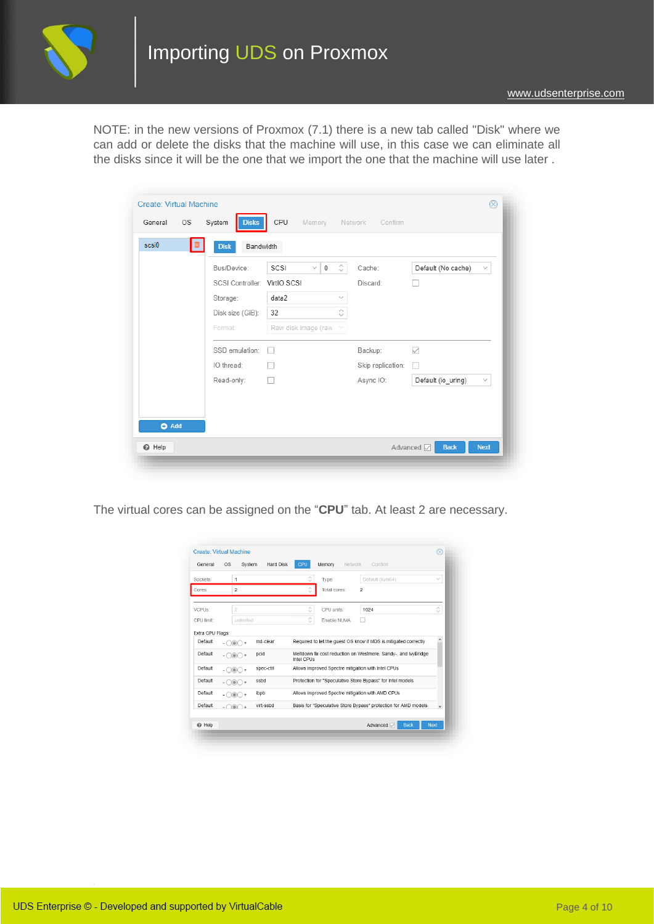

NOTE: in the new versions of Proxmox (7.1) there is a new tab called "Disk" where we can add or delete the disks that the machine will use, in this case we can eliminate all the disks since it will be the one that we import the one that the machine will use later .

| scsi0<br>▥ | Bandwidth<br><b>Disk</b>     |                                         |                   |                                    |
|------------|------------------------------|-----------------------------------------|-------------------|------------------------------------|
|            | Bus/Device:                  | ்<br>SCSI<br>$\checkmark$<br>$^{\circ}$ | Cache:            | Default (No cache)<br>$\sim$       |
|            | SCSI Controller: VirtIO SCSI |                                         | Discard:          |                                    |
|            | Storage:                     | data2<br>$\vee$                         |                   |                                    |
|            | Disk size (GiB):             | ੇ<br>32                                 |                   |                                    |
|            | Format:                      | Raw disk image (raw<br>$\searrow$       |                   |                                    |
|            | SSD emulation:               | n.                                      | Backup:           | $\checkmark$                       |
|            | IO thread:                   |                                         | Skip replication: |                                    |
|            | Read-only:                   | H                                       | Async IO:         | Default (io_uring)<br>$\checkmark$ |
|            |                              |                                         |                   |                                    |
|            |                              |                                         |                   |                                    |

The virtual cores can be assigned on the "**CPU**" tab. At least 2 are necessary.

| General          | <b>OS</b><br>System                 | Hard Disk | CPU                               | Memory<br>Network | Confirm                                                         |                  |
|------------------|-------------------------------------|-----------|-----------------------------------|-------------------|-----------------------------------------------------------------|------------------|
| Sockets:         | 1                                   |           | Ĉ                                 | Type:             | Default (kvm64)                                                 | $\checkmark$     |
| Cores:           | $\overline{a}$                      |           |                                   | Total cores:      | $\overline{2}$                                                  |                  |
| VCPUs:           | $\overline{2}$                      |           | $\scriptstyle\wedge$<br>$\ddotsc$ | CPU units:        | 1024                                                            | $\sim$<br>$\sim$ |
| CPU limit        | unlimited                           |           | $\hat{\mathbf{C}}$                | Enable NUMA:      |                                                                 |                  |
| Extra CPU Flags: |                                     |           |                                   |                   |                                                                 |                  |
| Default          | $ \bigcirc$ $\bigcirc$ $\bigcirc$ + | md-clear  |                                   |                   | Required to let the quest OS know if MDS is mitigated correctly | ٨                |
| Default          | $ \odot$ $\odot$ $+$                | pcid      | Intel CPUs                        |                   | Meltdown fix cost reduction on Westmere, Sandy-, and IvyBridge  |                  |
| Default          | $-$ 000 +                           | spec-ctrl |                                   |                   | Allows improved Spectre mitigation with Intel CPUs              |                  |
| Default          | $\odot$ $\odot$ +                   | ssbd      |                                   |                   | Protection for "Speculative Store Bypass" for Intel models      |                  |
| Default          | $ \odot$ $\odot$ $+$                | ibpb      |                                   |                   | Allows improved Spectre mitigation with AMD CPUs                |                  |
| Default          | $. \cap \cap \cap +$                | virt-ssbd |                                   |                   | Basis for "Speculative Store Bypass" protection for AMD models  | $\checkmark$     |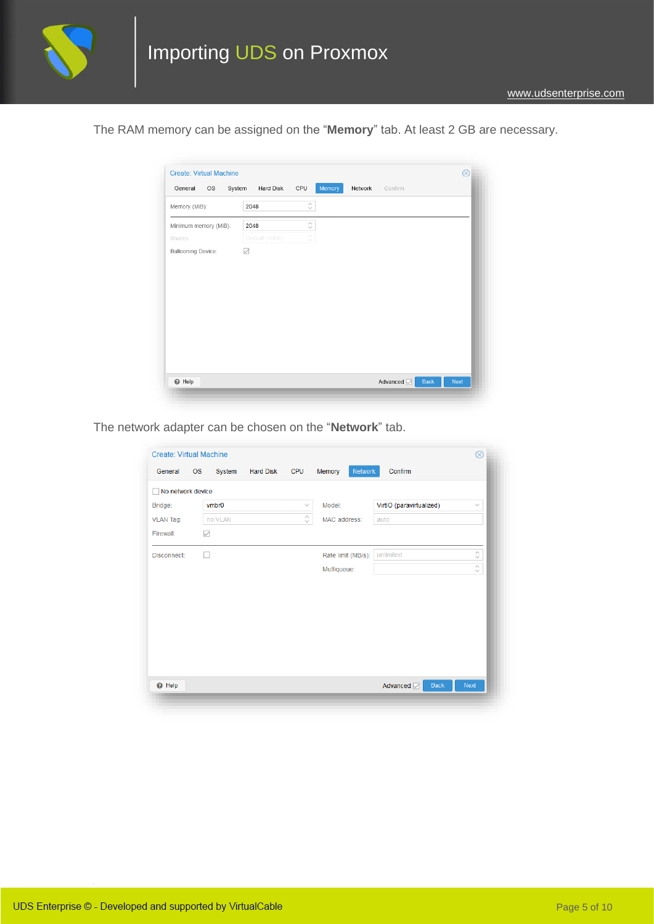

The RAM memory can be assigned on the "**Memory**" tab. At least 2 GB are necessary.

| Memory (MiB):         | 2048           | $\stackrel{\scriptstyle\wedge}{\scriptstyle\smile}$ |  |  |
|-----------------------|----------------|-----------------------------------------------------|--|--|
| Minimum memory (MiB): | 2048           | $\hat{\mathbf{C}}$                                  |  |  |
| Shares:               | Default (1000) | ା                                                   |  |  |
| Ballooning Device:    | $\searrow$     |                                                     |  |  |
|                       |                |                                                     |  |  |
|                       |                |                                                     |  |  |
|                       |                |                                                     |  |  |
|                       |                |                                                     |  |  |
|                       |                |                                                     |  |  |
|                       |                |                                                     |  |  |
|                       |                |                                                     |  |  |
|                       |                |                                                     |  |  |
|                       |                |                                                     |  |  |

The network adapter can be chosen on the "**Network**" tab.

| General           | <b>OS</b> | System       | <b>Hard Disk</b> | CPU        | Network<br>Memory  | Confirm                   |                    |
|-------------------|-----------|--------------|------------------|------------|--------------------|---------------------------|--------------------|
| No network device |           |              |                  |            |                    |                           |                    |
| Bridge:           |           | <b>vmbr0</b> |                  | $\searrow$ | Model:             | VirtIO (paravirtualized)  | $\checkmark$       |
| <b>VLAN Tag:</b>  |           | no VLAN      |                  | ♦          | MAC address:       | auto                      |                    |
| Firewall:         | ▽         |              |                  |            |                    |                           |                    |
| Disconnect:       | ш         |              |                  |            | Rate limit (MB/s): | unlimited                 | $\hat{\mathbf{C}}$ |
|                   |           |              |                  |            | Multiqueue:        |                           | $\hat{\cdot}$      |
|                   |           |              |                  |            |                    |                           |                    |
|                   |           |              |                  |            |                    |                           |                    |
|                   |           |              |                  |            |                    |                           |                    |
|                   |           |              |                  |            |                    |                           |                    |
|                   |           |              |                  |            |                    |                           |                    |
|                   |           |              |                  |            |                    |                           |                    |
|                   |           |              |                  |            |                    |                           |                    |
|                   |           |              |                  |            |                    | Advanced <b>Z</b><br>Back | Next               |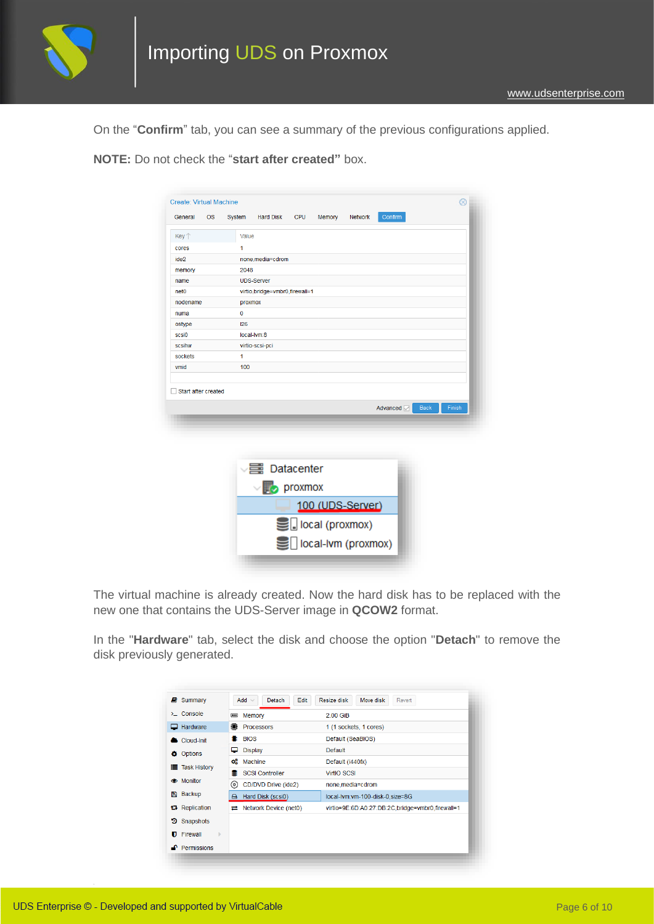

On the "**Confirm**" tab, you can see a summary of the previous configurations applied.

**NOTE:** Do not check the "**start after created"** box.

| General                        | <b>OS</b> | System      | <b>Hard Disk</b>                 | <b>CPU</b> | Memory           | <b>Network</b> | Confirm    |             |        |
|--------------------------------|-----------|-------------|----------------------------------|------------|------------------|----------------|------------|-------------|--------|
| Key 1                          |           | Value       |                                  |            |                  |                |            |             |        |
| cores                          |           | 1           |                                  |            |                  |                |            |             |        |
| ide2                           |           |             | none, media=cdrom                |            |                  |                |            |             |        |
| memory                         |           | 2048        |                                  |            |                  |                |            |             |        |
| name                           |           |             | <b>UDS-Server</b>                |            |                  |                |            |             |        |
| net <sub>0</sub>               |           |             | virtio, bridge=vmbr0, firewall=1 |            |                  |                |            |             |        |
| nodename                       |           | proxmox     |                                  |            |                  |                |            |             |        |
| numa                           |           | $\mathbf 0$ |                                  |            |                  |                |            |             |        |
| ostype                         |           | 126         |                                  |            |                  |                |            |             |        |
| scsi0                          |           |             | local-lym:8                      |            |                  |                |            |             |        |
| scsihw                         |           |             | virtio-scsi-pci                  |            |                  |                |            |             |        |
|                                |           |             |                                  |            |                  |                |            |             |        |
| sockets<br>Start after created |           | 1<br>100    |                                  |            |                  |                |            |             |        |
|                                |           |             |                                  |            |                  |                | Advanced M | <b>Back</b> | Finish |
| vmid                           |           |             |                                  |            |                  |                |            |             |        |
|                                |           |             | √ atacenter                      |            |                  |                |            |             |        |
|                                |           |             | $\n  prox max$                   |            |                  |                |            |             |        |
|                                |           |             |                                  |            | 100 (UDS-Server) |                |            |             |        |
|                                |           |             |                                  |            | local (proxmox)  |                |            |             |        |

The virtual machine is already created. Now the hard disk has to be replaced with the new one that contains the UDS-Server image in **QCOW2** format.

In the "**Hardware**" tab, select the disk and choose the option "**Detach**" to remove the disk previously generated.

| Summary<br>P)              | $Add \vee$<br>Edit<br>Detach | Resize disk<br>Move disk<br>Revert               |
|----------------------------|------------------------------|--------------------------------------------------|
| $\Sigma$ Console           | Memory<br>$\blacksquare$     | 2.00 GiB                                         |
| Hardware<br>ப              | ❶<br><b>Processors</b>       | 1 (1 sockets, 1 cores)                           |
| Cloud-Init                 | <b>BIOS</b>                  | Default (SeaBIOS)                                |
| <b>Options</b>             | <b>Display</b><br>▭          | <b>Default</b>                                   |
| <b>Task History</b><br>⋿   | œ<br>Machine                 | Default (i440fx)                                 |
|                            | 9<br><b>SCSI Controller</b>  | <b>VirtIO SCSI</b>                               |
| <b>S</b> Monitor           | ⊙)<br>CD/DVD Drive (ide2)    | none, media=cdrom                                |
| Backup<br>冎                | Hard Disk (scsi0)<br>⊟       | local-lvm:vm-100-disk-0.size=8G                  |
| t <sub>3</sub> Replication | Network Device (net0)<br>=   | virtio=9E:6D:A0:27:DB:2C,bridge=vmbr0,firewall=1 |
| Snapshots<br>э             |                              |                                                  |
| Firewall<br>Þ              |                              |                                                  |
| <b>Permissions</b>         |                              |                                                  |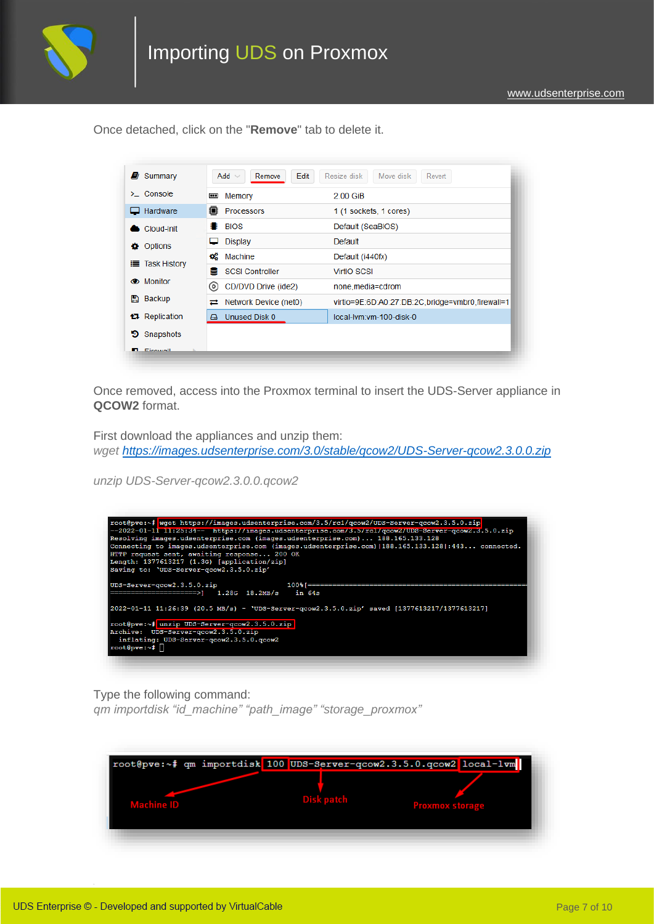

Once detached, click on the "**Remove**" tab to delete it.

| Summary<br>ø          | Add $\vee$<br>Edit<br>Remove   | Resize disk<br>Move disk<br>Revert               |
|-----------------------|--------------------------------|--------------------------------------------------|
| $\sum$ Console        | Memory<br>W                    | 2.00 GiB                                         |
| $\Box$ Hardware       | Processors                     | 1 (1 sockets, 1 cores)                           |
| Cloud-Init            | <b>BIOS</b>                    | Default (SeaBIOS)                                |
| Options<br>÷.         | <b>Display</b>                 | Default                                          |
| <b>E</b> Task History | œ<br>Machine                   | Default (i440fx)                                 |
|                       | <b>SCSI Controller</b><br>9    | <b>VirtIO SCSI</b>                               |
| <b>S</b> Monitor      | CD/DVD Drive (ide2)<br>$\circ$ | none, media=cdrom                                |
| Backup<br>n           | Network Device (net0)<br>귣     | virtio=9E:6D:A0:27:DB:2C,bridge=vmbr0,firewall=1 |
| <b>13</b> Replication | Unused Disk 0<br>А             | local-lym:ym-100-disk-0                          |
| Snapshots<br>э        |                                |                                                  |
| <b>D</b> Circum II    |                                |                                                  |

Once removed, access into the Proxmox terminal to insert the UDS-Server appliance in **QCOW2** format.

First download the appliances and unzip them: *wget<https://images.udsenterprise.com/3.0/stable/qcow2/UDS-Server-qcow2.3.0.0.zip>*

*unzip UDS-Server-qcow2.3.0.0.qcow2*



Type the following command:

*qm importdisk "id\_machine" "path\_image" "storage\_proxmox"*

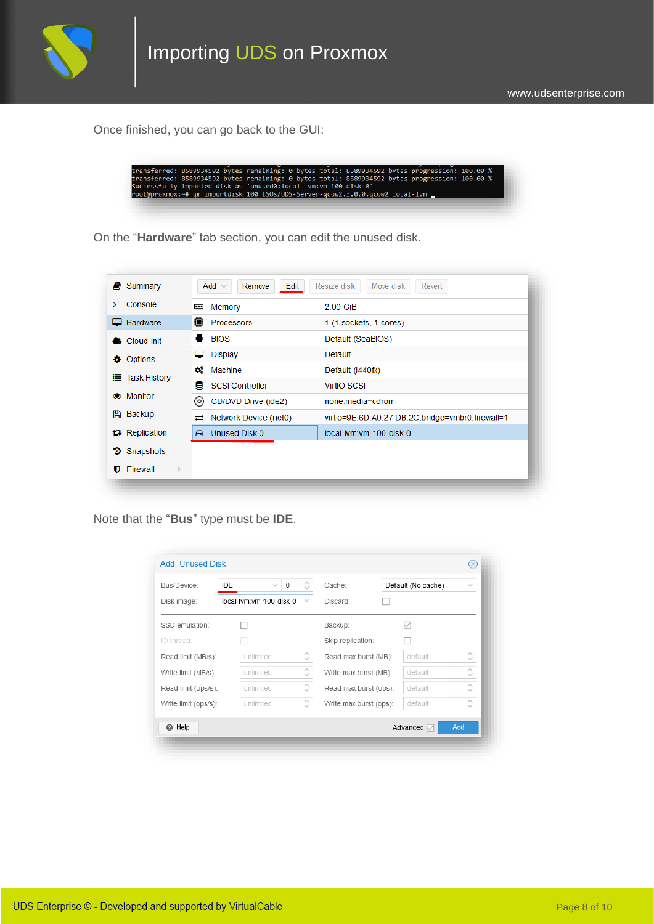

Once finished, you can go back to the GUI:

|                                                                 |  | transferred: 8589934592 bytes remaining: 0 bytes total: 8589934592 bytes progression: 100.00 % |  |
|-----------------------------------------------------------------|--|------------------------------------------------------------------------------------------------|--|
|                                                                 |  | transferred: 8589934592 bytes remaining: 0 bytes total: 8589934592 bytes progression: 100.00 % |  |
| Successfully imported disk as 'unused0:local-lvm:vm-100-disk-0' |  |                                                                                                |  |
|                                                                 |  | root@proxmox:~# qm importdisk 100 ISOs/UDS-Server-gcow2.3.0.0.gcow2 local-lym _                |  |

On the "**Hardware**" tab section, you can edit the unused disk.

| $\Sigma$ Console      | Memory<br>Œ                 | 2.00 GiB                                         |
|-----------------------|-----------------------------|--------------------------------------------------|
| $\Box$ Hardware       | ≘<br>Processors             | 1 (1 sockets, 1 cores)                           |
| Cloud-Init            | <b>BIOS</b><br>₩            | Default (SeaBIOS)                                |
| Options<br>o.         | ᇦ<br>Display                | Default                                          |
|                       | œ<br>Machine                | Default (i440fx)                                 |
| <b>E</b> Task History | 9<br><b>SCSI Controller</b> | <b>VirtIO SCSI</b>                               |
| <b>S</b> Monitor      | ⊚<br>CD/DVD Drive (ide2)    | none.media=cdrom                                 |
| Backup<br>P)          | Network Device (net0)<br>ㄹ  | virtio=9E:6D:A0:27:DB:2C,bridge=vmbr0,firewall=1 |
| <b>t.</b> Replication | Unused Disk 0<br>A          | local-lym:ym-100-disk-0                          |
| Snapshots<br>э        |                             |                                                  |
| Firewall<br>Þ.        |                             |                                                  |

Note that the "**Bus**" type must be **IDE**.

| Bus/Device:<br>Disk image: | Ĉ<br>0<br><b>IDE</b><br>$\checkmark$<br>local-lvm:vm-100-disk-0<br>$\checkmark$ | Cache:<br>Discard:     | Default (No cache) | $\checkmark$                            |
|----------------------------|---------------------------------------------------------------------------------|------------------------|--------------------|-----------------------------------------|
| SSD emulation:             |                                                                                 | Backup:                | $\backsim$         |                                         |
| IO thread:                 |                                                                                 | Skip replication:      |                    |                                         |
| Read limit (MB/s):         | Λ<br>unlimited<br>$\sim$                                                        | Read max burst (MB):   | default            | Α<br>$\checkmark$                       |
| Write limit (MB/s):        | $\widehat{\phantom{a}}$<br>unlimited<br>$\sim$                                  | Write max burst (MB):  | default            | $\scriptstyle\wedge$<br>$\checkmark$    |
| Read limit (ops/s):        | $\mathcal{L}_{\mathcal{N}}$<br>unlimited<br>$\sim$                              | Read max burst (ops):  | default            | $\curvearrowright$<br>$\checkmark$      |
| Write limit (ops/s):       | Λ<br>unlimited<br>$\sim$                                                        | Write max burst (ops): | default            | $\widehat{\phantom{a}}$<br>$\checkmark$ |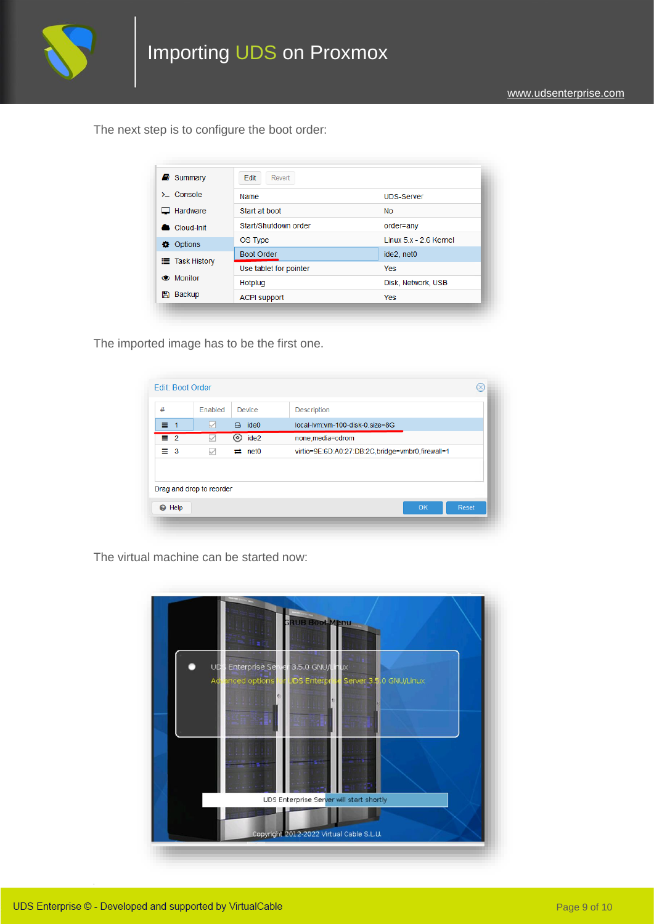

The next step is to configure the boot order:

| $\Box$ Summary        | Edit<br>Revert         |                         |
|-----------------------|------------------------|-------------------------|
| $\sum$ Console        | Name                   | <b>UDS-Server</b>       |
| Hardware              | Start at boot          | <b>No</b>               |
| Cloud-Init            | Start/Shutdown order   | order=any               |
| <b>Options</b>        | OS Type                | Linux $5x - 2.6$ Kernel |
| <b>E</b> Task History | <b>Boot Order</b>      | ide2, net0              |
|                       | Use tablet for pointer | <b>Yes</b>              |
| <b>S</b> Monitor      | Hotplug                | Disk, Network, USB      |
| Backup<br>P)          | <b>ACPI support</b>    | Yes                     |

The imported image has to be the first one.

| ide <sub>0</sub><br>$\Box$<br>local-lvm:vm-100-disk-0.size=8G<br>M<br>$\odot$ ide2<br>none, media=cdrom<br>virtio=9E:6D:A0:27:DB:2C,bridge=vmbr0,firewall=1<br>$\rightleftarrows$ net0<br>✓<br>Drag and drop to reorder | #          | Enabled | Device | <b>Description</b> |
|-------------------------------------------------------------------------------------------------------------------------------------------------------------------------------------------------------------------------|------------|---------|--------|--------------------|
|                                                                                                                                                                                                                         | $\equiv$ 1 |         |        |                    |
|                                                                                                                                                                                                                         | $\equiv 2$ |         |        |                    |
|                                                                                                                                                                                                                         | $\equiv$ 3 |         |        |                    |
|                                                                                                                                                                                                                         |            |         |        |                    |

The virtual machine can be started now:

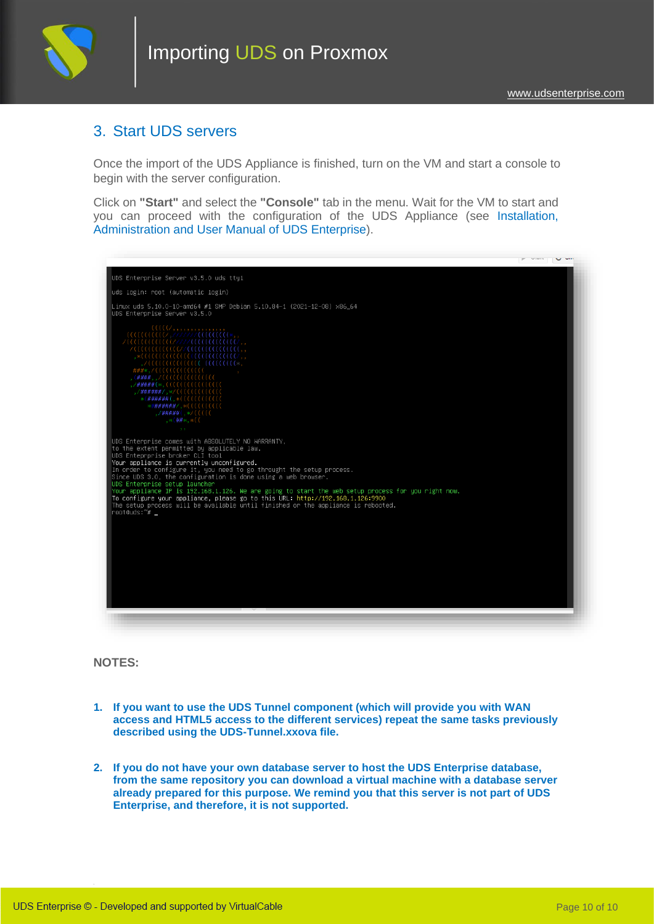

#### 3. Start UDS servers

Once the import of the UDS Appliance is finished, turn on the VM and start a console to begin with the server configuration.

Click on **"Start"** and select the **"Console"** tab in the menu. Wait for the VM to start and you can proceed with the configuration of the UDS Appliance (see [Installation,](https://www.udsenterprise.com/en/uds-enterprise/documentation/)  [Administration and User Manual of](https://www.udsenterprise.com/en/uds-enterprise/documentation/) [UDS Enterprise\)](https://www.udsenterprise.com/en/uds-enterprise/documentation/).



**NOTES:**

- **1. If you want to use the UDS Tunnel component (which will provide you with WAN access and HTML5 access to the different services) repeat the same tasks previously described using the UDS-Tunnel.xxova file.**
- **2. If you do not have your own database server to host the UDS Enterprise database, from the same repository you can download a virtual machine with a database server already prepared for this purpose. We remind you that this server is not part of UDS Enterprise, and therefore, it is not supported.**